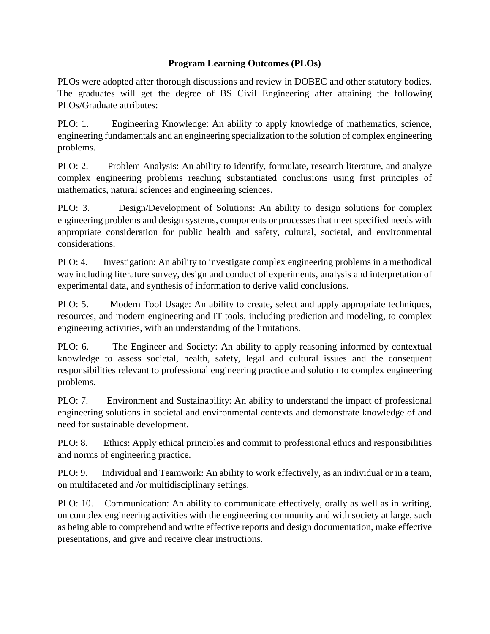## **Program Learning Outcomes (PLOs)**

PLOs were adopted after thorough discussions and review in DOBEC and other statutory bodies. The graduates will get the degree of BS Civil Engineering after attaining the following PLOs/Graduate attributes:

PLO: 1. Engineering Knowledge: An ability to apply knowledge of mathematics, science, engineering fundamentals and an engineering specialization to the solution of complex engineering problems.

PLO: 2. Problem Analysis: An ability to identify, formulate, research literature, and analyze complex engineering problems reaching substantiated conclusions using first principles of mathematics, natural sciences and engineering sciences.

PLO: 3. Design/Development of Solutions: An ability to design solutions for complex engineering problems and design systems, components or processes that meet specified needs with appropriate consideration for public health and safety, cultural, societal, and environmental considerations.

PLO: 4. Investigation: An ability to investigate complex engineering problems in a methodical way including literature survey, design and conduct of experiments, analysis and interpretation of experimental data, and synthesis of information to derive valid conclusions.

PLO: 5. Modern Tool Usage: An ability to create, select and apply appropriate techniques, resources, and modern engineering and IT tools, including prediction and modeling, to complex engineering activities, with an understanding of the limitations.

PLO: 6. The Engineer and Society: An ability to apply reasoning informed by contextual knowledge to assess societal, health, safety, legal and cultural issues and the consequent responsibilities relevant to professional engineering practice and solution to complex engineering problems.

PLO: 7. Environment and Sustainability: An ability to understand the impact of professional engineering solutions in societal and environmental contexts and demonstrate knowledge of and need for sustainable development.

PLO: 8. Ethics: Apply ethical principles and commit to professional ethics and responsibilities and norms of engineering practice.

PLO: 9. Individual and Teamwork: An ability to work effectively, as an individual or in a team, on multifaceted and /or multidisciplinary settings.

PLO: 10. Communication: An ability to communicate effectively, orally as well as in writing, on complex engineering activities with the engineering community and with society at large, such as being able to comprehend and write effective reports and design documentation, make effective presentations, and give and receive clear instructions.